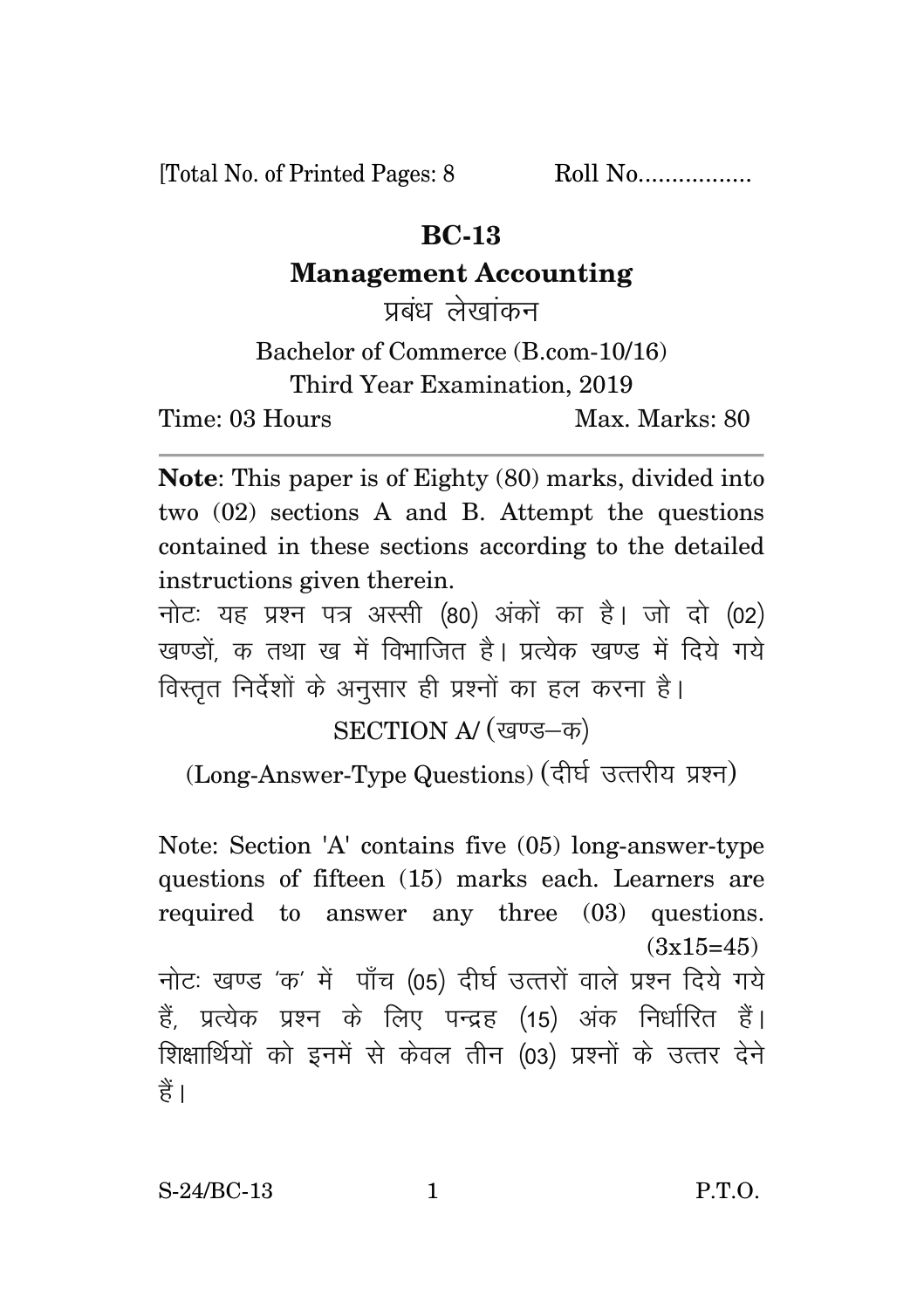[Total No. of Printed Pages: 8 Roll No..................

## **BC-13**

## **Management Accounting**

प्रबंध लेखांकन

Bachelor of Commerce (B.com-10/16) Third Year Examination, 2019 Time: 03 Hours Max. Marks: 80

**Note**: This paper is of Eighty (80) marks, divided into two (02) sections A and B. Attempt the questions contained in these sections according to the detailed instructions given therein.

नोट: यह प्रश्न पत्र अस्सी (80) अंकों का है। जो दो (02) खण्डों क तथा ख में विभाजित है। प्रत्येक खण्ड में दिये गये विस्तृत निर्देशों के अनुसार ही प्रश्नों का हल करना है।

SECTION A/ (खण्ड-क)

(Long-Answer-Type Questions) (दीर्घ उत्तरीय प्रश्न)

Note: Section 'A' contains five (05) long-answer-type questions of fifteen (15) marks each. Learners are required to answer any three (03) questions.  $(3x15=45)$ नोटः खण्ड 'क' में पाँच (05) दीर्घ उत्तरों वाले प्रश्न दिये गये हैं, प्रत्येक प्रश्न के लिए पन्द्रह (15) अंक निर्धारित हैं। शिक्षार्थियों को इनमें से केवल तीन (03) प्रश्नों के उत्तर देने हैं।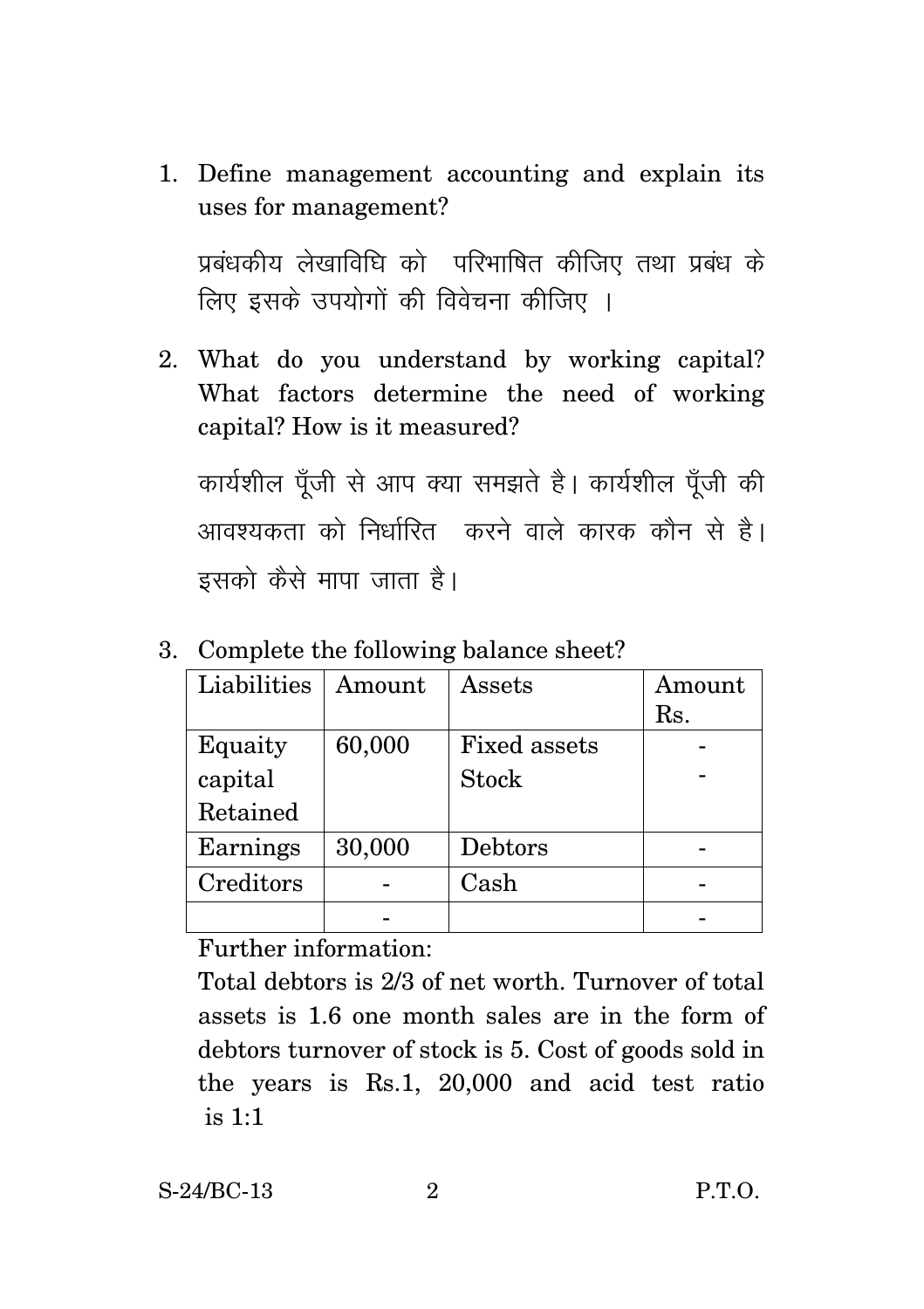1. Define management accounting and explain its uses for management?

प्रबंधकीय लेखाविधि को परिभाषित कीजिए तथा प्रबंध के लिए इसके उपयोगों की विवेचना कीजिए ।

2. What do you understand by working capital? What factors determine the need of working capital? How is it measured?

कार्यशील पूँजी से आप क्या समझते है। कार्यशील पूँजी की <u>आवश्यकता को निर्धारित करने वाले कारक कौन से है।</u> इसको कैसे मापा जाता है।

| Liabilities | $\bm{\mathrm{A} \text{m} \text{ount}}$ | Assets              | Amount |
|-------------|----------------------------------------|---------------------|--------|
|             |                                        |                     | Rs.    |
| Equaity     | 60,000                                 | <b>Fixed assets</b> |        |
| capital     |                                        | <b>Stock</b>        |        |
| Retained    |                                        |                     |        |
| Earnings    | 30,000                                 | Debtors             |        |
| Creditors   |                                        | Cash                |        |
|             |                                        |                     |        |

3. Complete the following balance sheet?

Further information:

Total debtors is 2/3 of net worth. Turnover of total assets is 1.6 one month sales are in the form of debtors turnover of stock is 5. Cost of goods sold in the years is Rs.1, 20,000 and acid test ratio is 1:1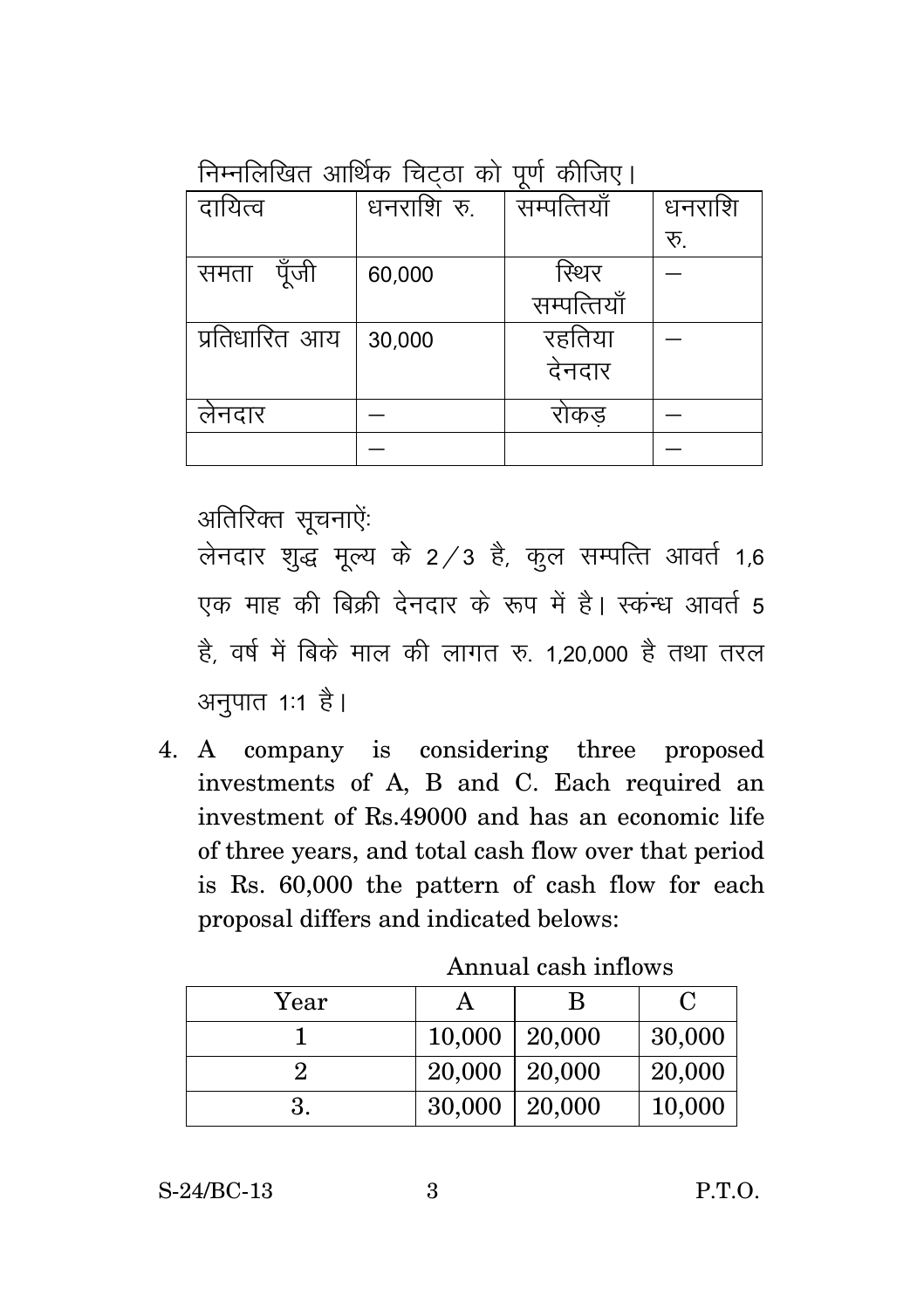निम्नलिखित आर्थिक चिटता को पर्ण कीजिए।

| $v_{\rm{1}}$ , $v_{\rm{1}}$ , $v_{\rm{1}}$ |            |             |        |
|--------------------------------------------|------------|-------------|--------|
| दायित्व                                    | धनराशि रु. | सम्पत्तियाँ | धनराशि |
|                                            |            |             | रू.    |
| पॅजी<br>समता                               | 60,000     | रिथर        |        |
|                                            |            | सम्पत्तियाँ |        |
| प्रतिधारित आय                              | 30,000     | रहतिया      |        |
|                                            |            | देनदार      |        |
| लेनदार                                     |            | राकड        |        |
|                                            |            |             |        |

अतिरिक्त सुचनाऐं:

लेनदार शुद्ध मूल्य के 2/3 है, कुल सम्पत्ति आवर्त 1,6 ,<br>एक माह की बिकी देनदार के रूप में है। स्कन्ध आवर्त 5 है, वर्ष में बिके माल की लागत रु. 1,20,000 है तथा तरल अनुपात 1:1 है।

4. A company is considering three proposed investments of A, B and C. Each required an investment of Rs.49000 and has an economic life of three years, and total cash flow over that period is Rs. 60,000 the pattern of cash flow for each proposal differs and indicated belows:

| Year |                     | B | C      |
|------|---------------------|---|--------|
|      | $10,000$   20,000   |   | 30,000 |
|      | $20,000$   $20,000$ |   | 20,000 |
|      | $30,000$   20,000   |   | 10,000 |

Annual cash inflows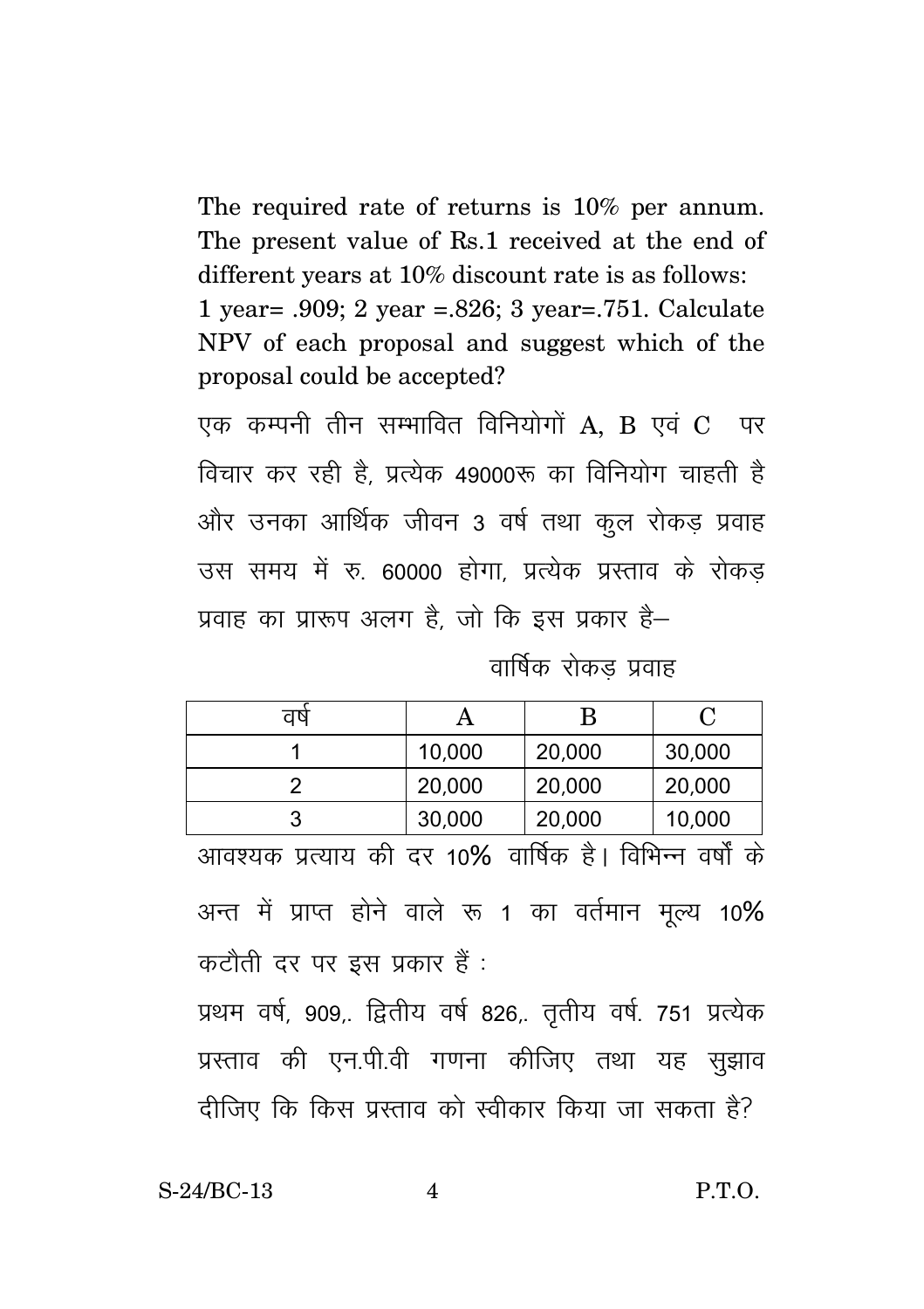The required rate of returns is 10% per annum. The present value of Rs.1 received at the end of different years at 10% discount rate is as follows: 1 year = .909; 2 year = .826; 3 year = .751. Calculate NPV of each proposal and suggest which of the proposal could be accepted?

एक कम्पनी तीन सम्भावित विनियोगों  $A$ . B एवं  $C$  पर विचार कर रही है, प्रत्येक 49000रू का विनियोग चाहती है और उनका आर्थिक जीवन 3 वर्ष तथा कुल रोकड़ प्रवाह उस समय में रु. 60000 होगा. प्रत्येक प्रस्ताव के रोकड प्रवाह का प्रारूप अलग है. जो कि इस प्रकार है–

वार्षिक रोकड प्रवाह

| ਹਾ |        |        |        |
|----|--------|--------|--------|
|    | 10,000 | 20,000 | 30,000 |
|    | 20,000 | 20,000 | 20,000 |
|    | 30,000 | 20,000 | 10,000 |

आवश्यक प्रत्याय की दर 10% वार्षिक है। विभिन्न वर्षों के अन्त में प्राप्त होने वाले रू 1 का वर्तमान मृल्य 10% कटौती दर पर इस प्रकार हैं :

प्रथम वर्ष, 909,. द्वितीय वर्ष 826,. तृतीय वर्ष. 751 प्रत्येक प्रस्ताव की एन.पी.वी गणना कीजिए तथा यह सूझाव दीजिए कि किस प्रस्ताव को स्वीकार किया जा सकता है?

S-24/BC-13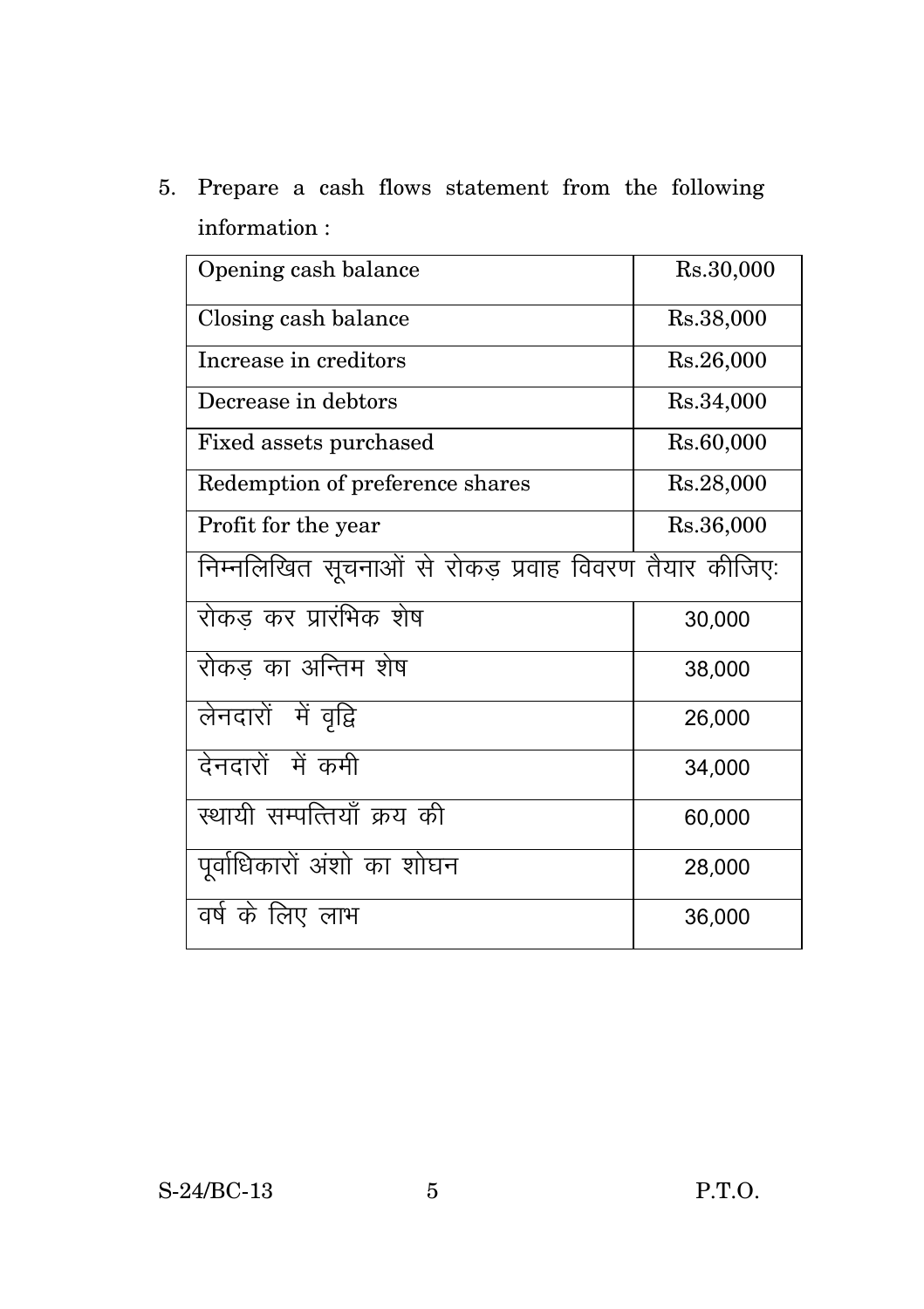5. Prepare a cash flows statement from the following information :

| Opening cash balance                                  | Rs.30,000 |
|-------------------------------------------------------|-----------|
| Closing cash balance                                  | Rs.38,000 |
| Increase in creditors                                 | Rs.26,000 |
| Decrease in debtors                                   | Rs.34,000 |
| Fixed assets purchased                                | Rs.60,000 |
| Redemption of preference shares                       | Rs.28,000 |
| Profit for the year                                   | Rs.36,000 |
| निम्नलिखित सूचनाओं से रोकड़ प्रवाह विवरण तैयार कीजिए: |           |
| रोकड कर प्रारंभिक शेष                                 | 30,000    |
| रोकड का अन्तिम शेष                                    | 38,000    |
| लेनदारों में वृद्वि                                   | 26,000    |
| देनदारों में कमी                                      | 34,000    |
| स्थायी सम्पत्तियाँ क्रय की                            | 60,000    |
| पूर्वाधिकारों अंशो का शोघन                            | 28,000    |
| वर्ष के लिए लाभ                                       | 36,000    |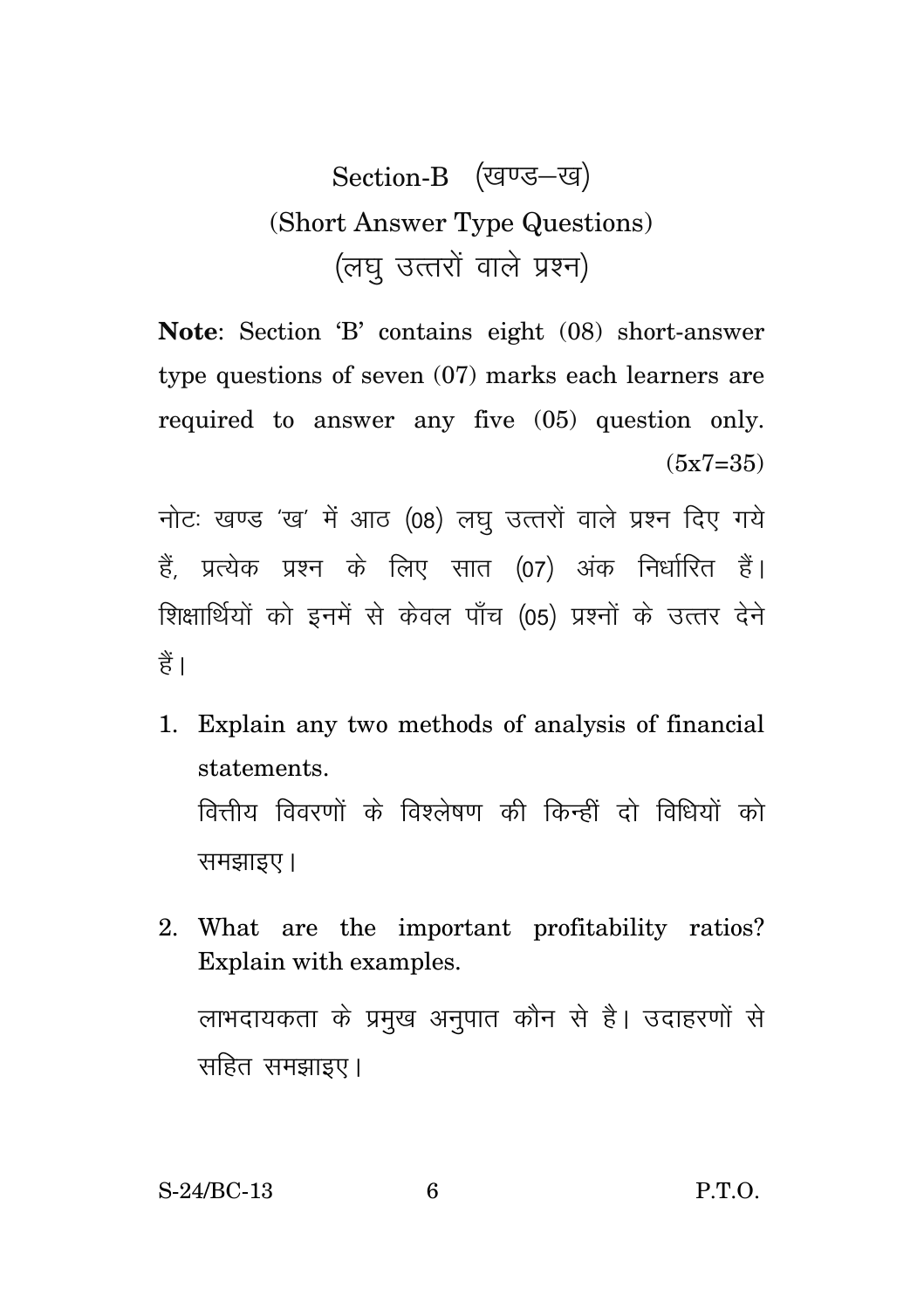## Section-B (खण्ड-ख) (Short Answer Type Questions) (लघु उत्तरों वाले प्रश्न)

**Note**: Section 'B' contains eight (08) short-answer type questions of seven (07) marks each learners are required to answer any five (05) question only.  $(5x7=35)$ 

नोटः खण्ड 'ख' में आठ (08) लघु उत्तरों वाले प्रश्न दिए गये हैं. प्रत्येक प्रश्न के लिए सात (07) अंक निर्धारित हैं। शिक्षार्थियों को इनमें से केवल पाँच (05) प्रश्नों के उत्तर देने हैं।

- 1. Explain any two methods of analysis of financial statements. वित्तीय विवरणों के विश्लेषण की किन्हीं दो विधियों को समझाइए।
- 2. What are the important profitability ratios? Explain with examples. लाभदायकता के प्रमुख अनुपात कौन से है। उदाहरणों से सहित समझाइए।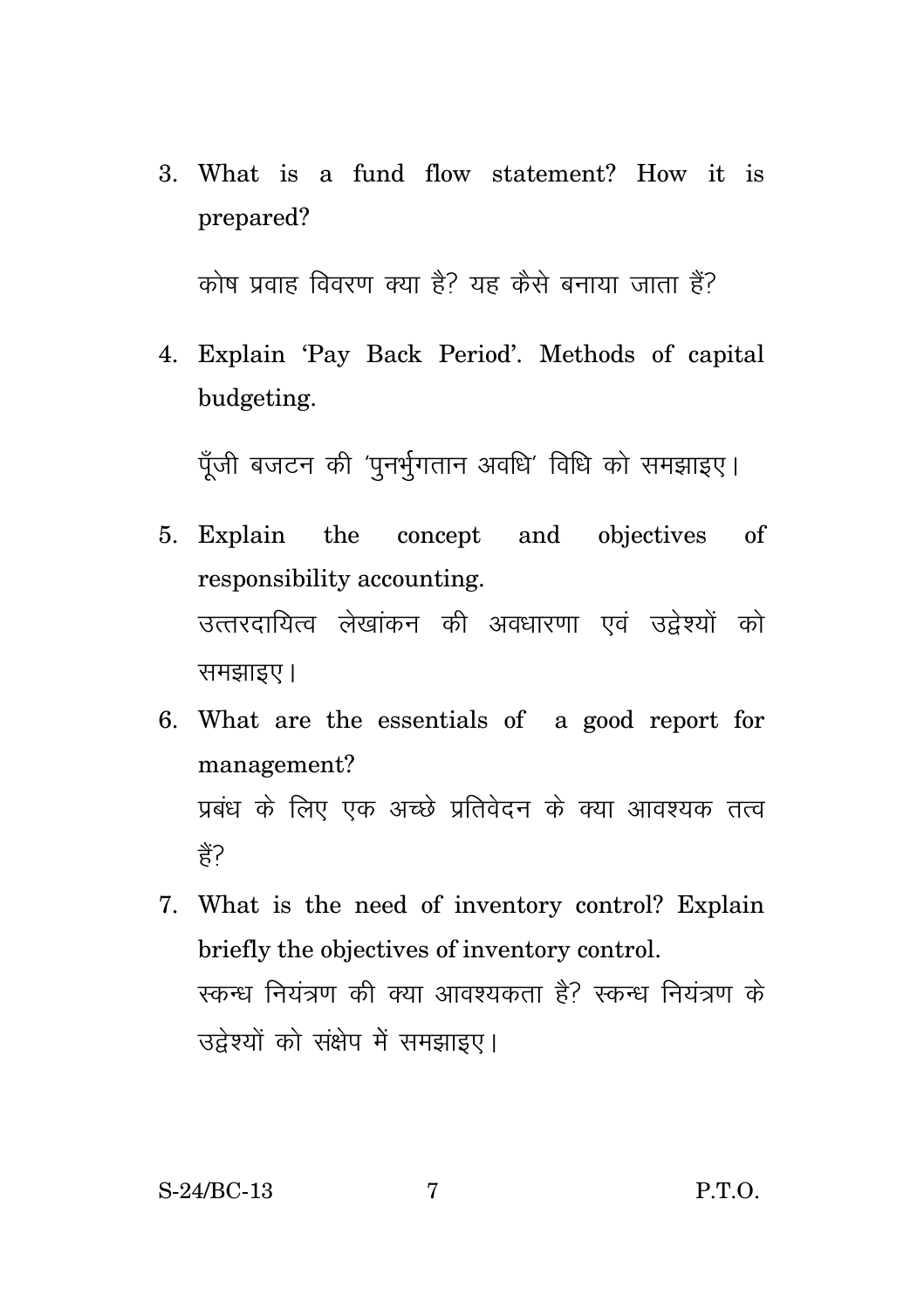3. What is a fund flow statement? How it is prepared?

कोष प्रवाह विवरण क्या है? यह कैसे बनाया जाता है?

4. Explain 'Pay Back Period'. Methods of capital budgeting.

पँजी बजटन की 'पनर्भगतान अवधि' विधि को समझाइए।

- 5. Explain the concept and objectives of responsibility accounting. उत्तरदायित्व लेखांकन की अवधारणा एवं उद्वेश्यों को समझाइए।
- 6. What are the essentials of a good report for management? प्रबंध के लिए एक अच्छे प्रतिवेदन के क्या आवश्यक तत्व ੜ੍ਹੇ?
- 7. What is the need of inventory control? Explain briefly the objectives of inventory control. स्कन्ध नियंत्रण की क्या आवश्यकता है? स्कन्ध नियंत्रण के उद्वेश्यों को संक्षेप में समझाइए।